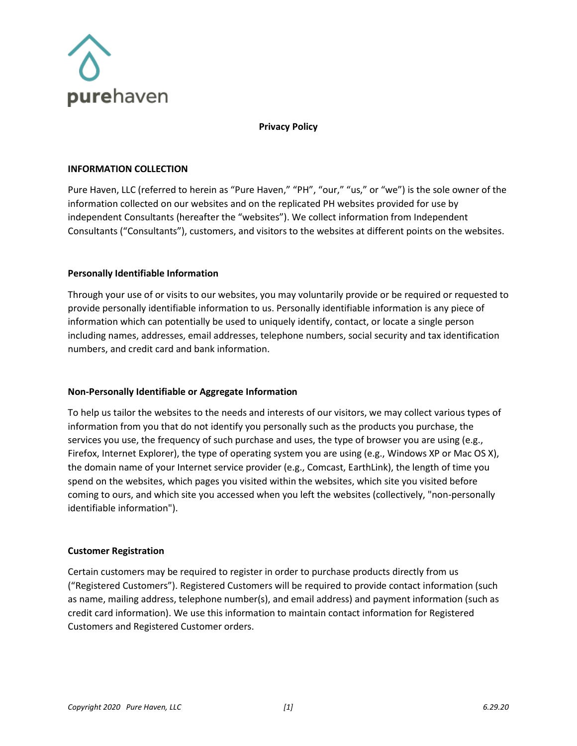

**Privacy Policy**

### **INFORMATION COLLECTION**

Pure Haven, LLC (referred to herein as "Pure Haven," "PH", "our," "us," or "we") is the sole owner of the information collected on our websites and on the replicated PH websites provided for use by independent Consultants (hereafter the "websites"). We collect information from Independent Consultants ("Consultants"), customers, and visitors to the websites at different points on the websites.

### **Personally Identifiable Information**

Through your use of or visits to our websites, you may voluntarily provide or be required or requested to provide personally identifiable information to us. Personally identifiable information is any piece of information which can potentially be used to uniquely identify, contact, or locate a single person including names, addresses, email addresses, telephone numbers, social security and tax identification numbers, and credit card and bank information.

## **Non-Personally Identifiable or Aggregate Information**

To help us tailor the websites to the needs and interests of our visitors, we may collect various types of information from you that do not identify you personally such as the products you purchase, the services you use, the frequency of such purchase and uses, the type of browser you are using (e.g., Firefox, Internet Explorer), the type of operating system you are using (e.g., Windows XP or Mac OS X), the domain name of your Internet service provider (e.g., Comcast, EarthLink), the length of time you spend on the websites, which pages you visited within the websites, which site you visited before coming to ours, and which site you accessed when you left the websites (collectively, "non-personally identifiable information").

## **Customer Registration**

Certain customers may be required to register in order to purchase products directly from us ("Registered Customers"). Registered Customers will be required to provide contact information (such as name, mailing address, telephone number(s), and email address) and payment information (such as credit card information). We use this information to maintain contact information for Registered Customers and Registered Customer orders.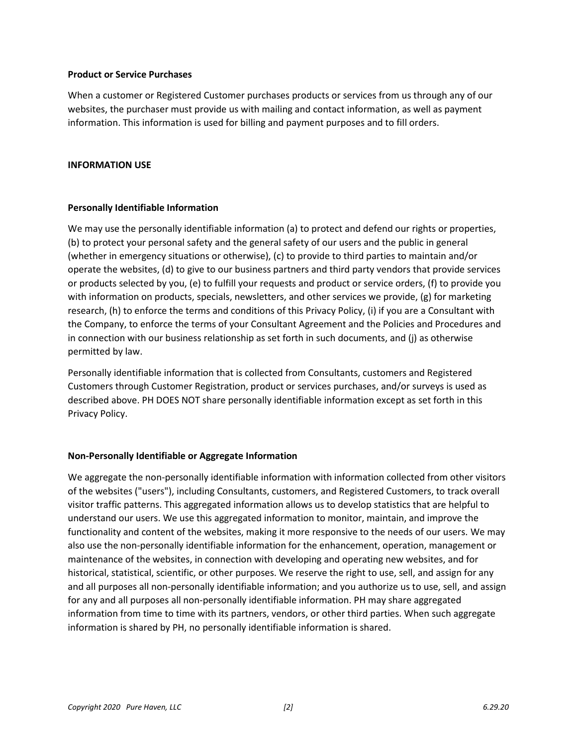### **Product or Service Purchases**

When a customer or Registered Customer purchases products or services from us through any of our websites, the purchaser must provide us with mailing and contact information, as well as payment information. This information is used for billing and payment purposes and to fill orders.

### **INFORMATION USE**

## **Personally Identifiable Information**

We may use the personally identifiable information (a) to protect and defend our rights or properties, (b) to protect your personal safety and the general safety of our users and the public in general (whether in emergency situations or otherwise), (c) to provide to third parties to maintain and/or operate the websites, (d) to give to our business partners and third party vendors that provide services or products selected by you, (e) to fulfill your requests and product or service orders, (f) to provide you with information on products, specials, newsletters, and other services we provide, (g) for marketing research, (h) to enforce the terms and conditions of this Privacy Policy, (i) if you are a Consultant with the Company, to enforce the terms of your Consultant Agreement and the Policies and Procedures and in connection with our business relationship as set forth in such documents, and (j) as otherwise permitted by law.

Personally identifiable information that is collected from Consultants, customers and Registered Customers through Customer Registration, product or services purchases, and/or surveys is used as described above. PH DOES NOT share personally identifiable information except as set forth in this Privacy Policy.

## **Non-Personally Identifiable or Aggregate Information**

We aggregate the non-personally identifiable information with information collected from other visitors of the websites ("users"), including Consultants, customers, and Registered Customers, to track overall visitor traffic patterns. This aggregated information allows us to develop statistics that are helpful to understand our users. We use this aggregated information to monitor, maintain, and improve the functionality and content of the websites, making it more responsive to the needs of our users. We may also use the non-personally identifiable information for the enhancement, operation, management or maintenance of the websites, in connection with developing and operating new websites, and for historical, statistical, scientific, or other purposes. We reserve the right to use, sell, and assign for any and all purposes all non-personally identifiable information; and you authorize us to use, sell, and assign for any and all purposes all non-personally identifiable information. PH may share aggregated information from time to time with its partners, vendors, or other third parties. When such aggregate information is shared by PH, no personally identifiable information is shared.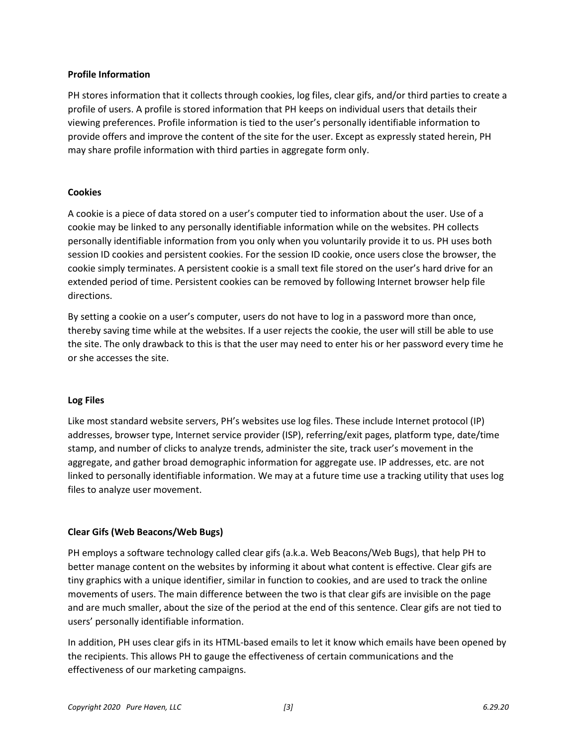## **Profile Information**

PH stores information that it collects through cookies, log files, clear gifs, and/or third parties to create a profile of users. A profile is stored information that PH keeps on individual users that details their viewing preferences. Profile information is tied to the user's personally identifiable information to provide offers and improve the content of the site for the user. Except as expressly stated herein, PH may share profile information with third parties in aggregate form only.

## **Cookies**

A cookie is a piece of data stored on a user's computer tied to information about the user. Use of a cookie may be linked to any personally identifiable information while on the websites. PH collects personally identifiable information from you only when you voluntarily provide it to us. PH uses both session ID cookies and persistent cookies. For the session ID cookie, once users close the browser, the cookie simply terminates. A persistent cookie is a small text file stored on the user's hard drive for an extended period of time. Persistent cookies can be removed by following Internet browser help file directions.

By setting a cookie on a user's computer, users do not have to log in a password more than once, thereby saving time while at the websites. If a user rejects the cookie, the user will still be able to use the site. The only drawback to this is that the user may need to enter his or her password every time he or she accesses the site.

#### **Log Files**

Like most standard website servers, PH's websites use log files. These include Internet protocol (IP) addresses, browser type, Internet service provider (ISP), referring/exit pages, platform type, date/time stamp, and number of clicks to analyze trends, administer the site, track user's movement in the aggregate, and gather broad demographic information for aggregate use. IP addresses, etc. are not linked to personally identifiable information. We may at a future time use a tracking utility that uses log files to analyze user movement.

## **Clear Gifs (Web Beacons/Web Bugs)**

PH employs a software technology called clear gifs (a.k.a. Web Beacons/Web Bugs), that help PH to better manage content on the websites by informing it about what content is effective. Clear gifs are tiny graphics with a unique identifier, similar in function to cookies, and are used to track the online movements of users. The main difference between the two is that clear gifs are invisible on the page and are much smaller, about the size of the period at the end of this sentence. Clear gifs are not tied to users' personally identifiable information.

In addition, PH uses clear gifs in its HTML-based emails to let it know which emails have been opened by the recipients. This allows PH to gauge the effectiveness of certain communications and the effectiveness of our marketing campaigns.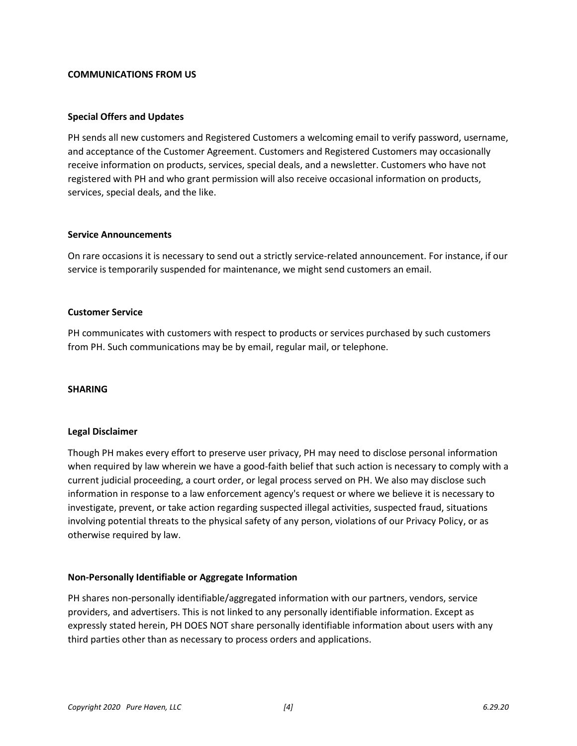### **COMMUNICATIONS FROM US**

### **Special Offers and Updates**

PH sends all new customers and Registered Customers a welcoming email to verify password, username, and acceptance of the Customer Agreement. Customers and Registered Customers may occasionally receive information on products, services, special deals, and a newsletter. Customers who have not registered with PH and who grant permission will also receive occasional information on products, services, special deals, and the like.

#### **Service Announcements**

On rare occasions it is necessary to send out a strictly service-related announcement. For instance, if our service is temporarily suspended for maintenance, we might send customers an email.

### **Customer Service**

PH communicates with customers with respect to products or services purchased by such customers from PH. Such communications may be by email, regular mail, or telephone.

#### **SHARING**

#### **Legal Disclaimer**

Though PH makes every effort to preserve user privacy, PH may need to disclose personal information when required by law wherein we have a good-faith belief that such action is necessary to comply with a current judicial proceeding, a court order, or legal process served on PH. We also may disclose such information in response to a law enforcement agency's request or where we believe it is necessary to investigate, prevent, or take action regarding suspected illegal activities, suspected fraud, situations involving potential threats to the physical safety of any person, violations of our Privacy Policy, or as otherwise required by law.

## **Non-Personally Identifiable or Aggregate Information**

PH shares non-personally identifiable/aggregated information with our partners, vendors, service providers, and advertisers. This is not linked to any personally identifiable information. Except as expressly stated herein, PH DOES NOT share personally identifiable information about users with any third parties other than as necessary to process orders and applications.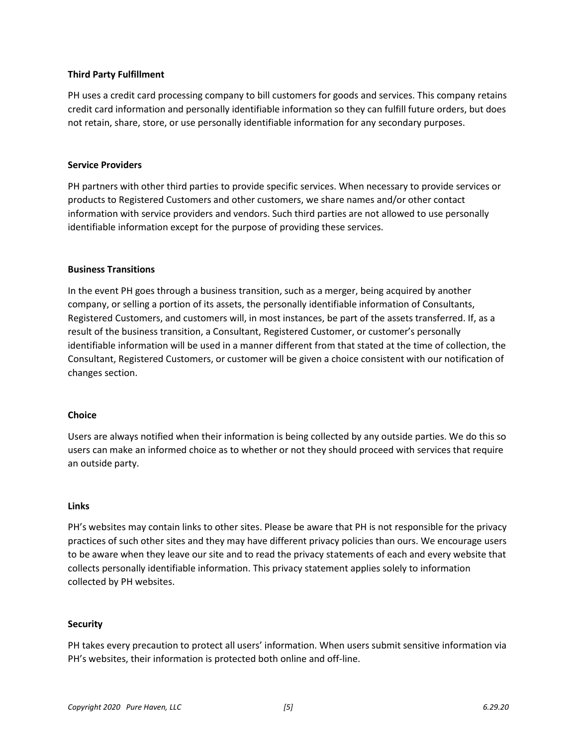## **Third Party Fulfillment**

PH uses a credit card processing company to bill customers for goods and services. This company retains credit card information and personally identifiable information so they can fulfill future orders, but does not retain, share, store, or use personally identifiable information for any secondary purposes.

## **Service Providers**

PH partners with other third parties to provide specific services. When necessary to provide services or products to Registered Customers and other customers, we share names and/or other contact information with service providers and vendors. Such third parties are not allowed to use personally identifiable information except for the purpose of providing these services.

## **Business Transitions**

In the event PH goes through a business transition, such as a merger, being acquired by another company, or selling a portion of its assets, the personally identifiable information of Consultants, Registered Customers, and customers will, in most instances, be part of the assets transferred. If, as a result of the business transition, a Consultant, Registered Customer, or customer's personally identifiable information will be used in a manner different from that stated at the time of collection, the Consultant, Registered Customers, or customer will be given a choice consistent with our notification of changes section.

## **Choice**

Users are always notified when their information is being collected by any outside parties. We do this so users can make an informed choice as to whether or not they should proceed with services that require an outside party.

## **Links**

PH's websites may contain links to other sites. Please be aware that PH is not responsible for the privacy practices of such other sites and they may have different privacy policies than ours. We encourage users to be aware when they leave our site and to read the privacy statements of each and every website that collects personally identifiable information. This privacy statement applies solely to information collected by PH websites.

## **Security**

PH takes every precaution to protect all users' information. When users submit sensitive information via PH's websites, their information is protected both online and off-line.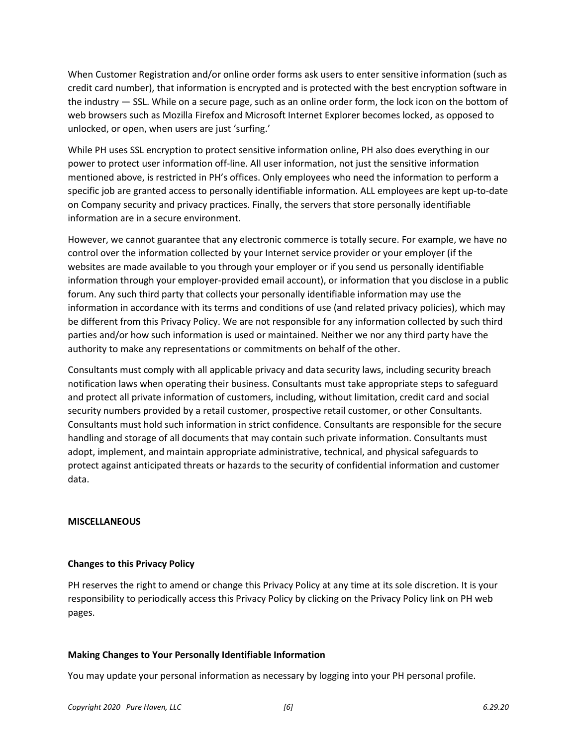When Customer Registration and/or online order forms ask users to enter sensitive information (such as credit card number), that information is encrypted and is protected with the best encryption software in the industry — SSL. While on a secure page, such as an online order form, the lock icon on the bottom of web browsers such as Mozilla Firefox and Microsoft Internet Explorer becomes locked, as opposed to unlocked, or open, when users are just 'surfing.'

While PH uses SSL encryption to protect sensitive information online, PH also does everything in our power to protect user information off-line. All user information, not just the sensitive information mentioned above, is restricted in PH's offices. Only employees who need the information to perform a specific job are granted access to personally identifiable information. ALL employees are kept up-to-date on Company security and privacy practices. Finally, the servers that store personally identifiable information are in a secure environment.

However, we cannot guarantee that any electronic commerce is totally secure. For example, we have no control over the information collected by your Internet service provider or your employer (if the websites are made available to you through your employer or if you send us personally identifiable information through your employer-provided email account), or information that you disclose in a public forum. Any such third party that collects your personally identifiable information may use the information in accordance with its terms and conditions of use (and related privacy policies), which may be different from this Privacy Policy. We are not responsible for any information collected by such third parties and/or how such information is used or maintained. Neither we nor any third party have the authority to make any representations or commitments on behalf of the other.

Consultants must comply with all applicable privacy and data security laws, including security breach notification laws when operating their business. Consultants must take appropriate steps to safeguard and protect all private information of customers, including, without limitation, credit card and social security numbers provided by a retail customer, prospective retail customer, or other Consultants. Consultants must hold such information in strict confidence. Consultants are responsible for the secure handling and storage of all documents that may contain such private information. Consultants must adopt, implement, and maintain appropriate administrative, technical, and physical safeguards to protect against anticipated threats or hazards to the security of confidential information and customer data.

## **MISCELLANEOUS**

## **Changes to this Privacy Policy**

PH reserves the right to amend or change this Privacy Policy at any time at its sole discretion. It is your responsibility to periodically access this Privacy Policy by clicking on the Privacy Policy link on PH web pages.

# **Making Changes to Your Personally Identifiable Information**

You may update your personal information as necessary by logging into your PH personal profile.